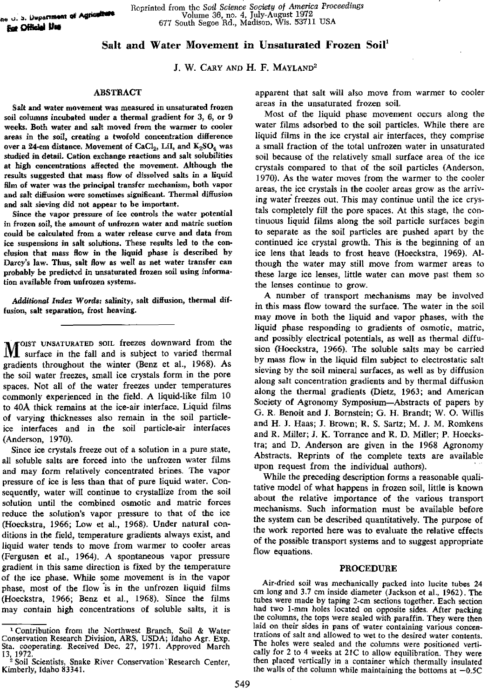# **Salt and Water Movement in Unsaturated Frozen Soil'**

J. W. CARY AND H. F. MAYLAND2

#### ABSTRACT

Salt **and water** movement was measured in unsaturated frozen soil columns incubated under a thermal gradient for 3, 6, or 9 weeks. Both water and salt moved from the warmer to cooler areas in the soil, creating a twofold concentration difference *over a* 24-cm distance. Movement of  $CaCl<sub>2</sub>$ , LiI, and  $K<sub>2</sub>SO<sub>4</sub>$  was studied in detail Cation exchange reactions and salt solubilities at high concentrations affected the movement. Although the results suggested that mass flow of dissolved salts in a liquid film of water was the principal transfer mechanism, both vapor and *salt* diffusion were sometimes significant. Thermal diffusion and salt sieving did not appear to be important.

Since the vapor pressure of ice controls the water potential in frozen soil, the amount of unfrozen water and matric suction could be calculated from a water release curve and data from ice suspensions in salt solutions. These results led to the conclusion that mass flow in the liquid phase is described by Darcy's law. Thus, salt flow as well as net water transfer can probably be predicted in unsaturated frozen soil using information available from unfrozen systems.

Additional *Index Words: salinity, salt* diffusion, thermal diffusion, salt separation, frost heaving.

M surface in the fall and is subject to varied thermal OIST UNSATURATED SOIL freezes downward from the gradients throughout the winter (Benz et al., 1968). As the soil water freezes, small ice crystals form in the pore spaces. Not all of the water freezes under temperatures commonly experienced in the field. A liquid-like film 10 to 40A thick remains at the ice-air interface. Liquid films of varying thicknesses also remain in the soil particleice interfaces and in the soil particle-air interfaces (Anderson, 1970).

Since ice crystals freeze out of a solution in a pure state, all soluble salts are forced into the unfrozen water films and may form relatively concentrated brines. The vapor pressure of ice is less than that of pure liquid water. Consequently, water will continue to crystallize from the soil solution until the combined osmotic and matric forces reduce the solution's vapor pressure to that of the ice (Hoeckstra, 1966; Low et al., 1968). Under natural conditions in the field, temperature gradients always exist, and liquid water tends to move from warmer to cooler areas (Fergusen et al., 1964). A spontaneous vapor pressure gradient in this same direction is fixed by the temperature of the ice phase. While some movement is in the vapor phase, most of the flow is in the unfrozen liquid films (Hoeckstra, 1966; Benz et al., 1968). Since the films may contain high concentrations of soluble salts, it is apparent that salt will also move from warmer to cooler areas in the unsaturated frozen soil.

Most of the liquid phase movement occurs along the water films adsorbed to the soil particles. While there are liquid films in the ice crystal air interfaces, they comprise a small fraction of the total unfrozen water in unsaturated soil because of the relatively small surface area of the ice crystals compared to that of the soil particles (Anderson, 1970). As the water moves from the warmer to the cooler areas, the ice crystals in the cooler areas grow as the arriving water freezes out. This may continue until the ice crystals completely fill the pore spaces. At this stage, the continuous liquid films along the soil particle surfaces begin to separate as the soil particles are pushed apart by the continued ice crystal growth. This is the beginning of an ice lens that leads to frost heave (Hoeckstra, 1969). Although the water may still move from warmer areas to these large ice lenses, little water can move past them so the lenses continue to grow.

A number of transport mechanisms may be involved in this mass flow toward the surface. The water in the soil may move in both the liquid and vapor phases, with the liquid phase responding to gradients of osmotic, matric, and possibly electrical potentials, as well as thermal diffusion (Hoeckstra, 1966). The soluble salts may be carried by mass flow in the liquid film subject to electrostatic salt sieving by the soil mineral surfaces, as well as by diffusion along salt concentration gradients and by thermal diffusion along the thermal gradients (Dietz, 1963; and American Society of Agronomy Symposium—Abstracts of papers by G. R. Benoit and J. Bornstein; G. H. Brandt; W. 0. Willis and H. I. Haas; J. Brown; R. S. Sartz; M. J. M. Romkens and R. Miller; J. K. Torrance and R. D. Miller; P. Hoeckstra; and D. Anderson are given in the 1968 Agronomy Abstracts. Reprints of the complete texts are available upon request from the individual authors).

While the preceding description forms a reasonable qualitative model of what happens in frozen soil, little is known about the relative importance of the various transport mechanisms. Such information must be available before the system can be described quantitatively. The purpose of the work reported here was to evaluate the relative effects of the possible transport systems and to suggest appropriate flow equations.

#### PROCEDURE

Air-dried soil was mechanically packed into lucite tubes 24 cm long and 3.7 cm inside diameter (Jackson et al., 1962). The tubes were made by taping 2-cm sections together. Each section had two 1-mm holes located on opposite sides. After packing the columns, the tops were sealed with paraffin. They were then laid on their sides in pans of water containing various concentrations of salt and allowed to wet to the desired water contents. The holes were sealed and the columns were positioned vertically for 2 to 4 weeks at 21C to allow equilibration. They were then placed vertically in a container which thermally insulated the walls of the column while maintaining the bottoms at  $-0.5C$ 

<sup>&#</sup>x27;Contribution from the Northwest Branch, Soil & Water Conservation Research Division, ARS, USDA; Idaho Agr. Exp. Sta. cooperating. Received Dec. 27, 1971. Approved March

<sup>13, 1972.</sup> 2 Soil Scientists, Snake River Conservation' Research Center. Kimberly, Idaho 83341.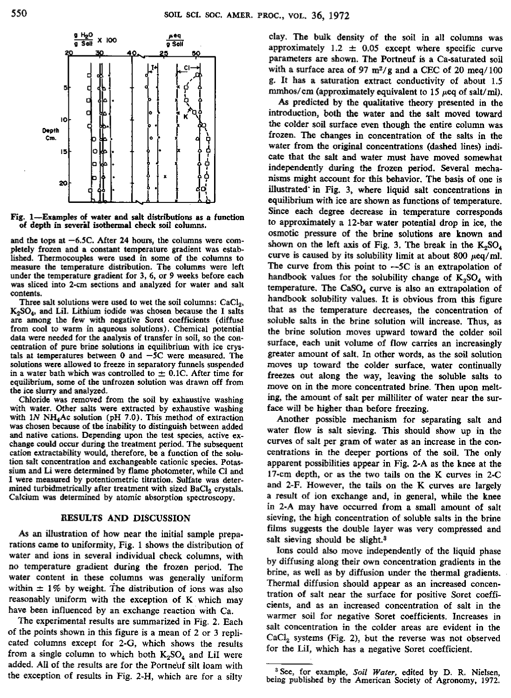

Fig. 1—Examples of water and salt distributions as a function of depth in several isothermal check soil columns.

and the tops at  $-6.5C$ . After 24 hours, the columns were completely frozen and a constant temperature gradient was established. Thermocouples were used in some of the columns to measure the temperature distribution. The columns were left under the temperature gradient for 3, 6, or 9 weeks before each was sliced into 2-cm sections and analyzed for water and salt contents.

Three salt solutions were used to wet the soil columns:  $CaCl<sub>2</sub>$  $K_2SO_4$ , and LiI. Lithium iodide was chosen because the I salts are among the few with negative Soret coefficients (diffuse from cool to warm in aqueous solutions). Chemical potential data were needed for the analysis of transfer in soil, so the concentration of pure brine solutions in equilibrium with ice crystals at temperatures between  $0$  and  $-5C$  were measured. The solutions were allowed to freeze in separatory funnels suspended in a water bath which was controlled to  $\pm$  0.1C. After time for equilibrium, some of the unfrozen solution was drawn off from the ice slurry and analyzed.

Chloride was removed from the soil by exhaustive washing with water. Other salts were extracted by exhaustive washing with *IN* NH4Ac solution (pH 7.0). This method of extraction was chosen because of the inability to distinguish between added and native cations. Depending upon the test species, active exchange could occur during the treatment period. The subsequent cation extractability would, therefore, be a function of the solution salt concentration and exchangeable cationic species. Potassium and Li were determined by flame photometer, while Cl and I were measured by potentiometric titration. Sulfate was determined turbidmetrically after treatment with sized  $BaCl<sub>2</sub>$  crystals. Calcium was determined by atomic absorption spectroscopy.

# **RESULTS AND DISCUSSION**

As an illustration of how near the initial sample preparations came to uniformity, Fig. 1 shows the distribution of water and ions in several individual check columns, with no temperature gradient during the frozen period. The water content in these columns was generally uniform within  $\pm$  1% by weight. The distribution of ions was also reasonably uniform with the exception of K which may have been influenced by an exchange reaction with Ca.

The experimental results are summarized in Fig. 2. Each of the points shown in this figure is a mean of 2 or 3 replicated columns except for 2-G, which shows the results from a single column to which both  $K_2SO_4$  and LiI were added. All of the results are for the Portneuf silt loam with the exception of results in Fig. 2-H, which are for a silty

clay. The bulk density of the soil in all columns was approximately  $1.2 \pm 0.05$  except where specific curve parameters are shown. The Portneuf is a Ca-saturated soil with a surface area of 97  $m^2/g$  and a CEC of 20 meg/100 g. It has a saturation extract conductivity of about 1.5 mmhos/cm (approximately equivalent to 15  $\mu$ eq of salt/ml).

As predicted by the qualitative theory presented in the introduction, both the water and the salt moved toward the colder soil surface even though the entire column was frozen. The changes in concentration of the salts in the water from the original concentrations (dashed lines) indicate that the salt and water must have moved somewhat independently during the frozen period. Several mechanisms might account for this behavior. The basis of one is illustrated' in Fig. 3, where liquid salt concentrations in equilibrium with ice are **shown as functions of temperature.** Since *each* degree decrease in temperature corresponds to approximately a 12-bar water potential drop in ice, the osmotic pressure of the brine solutions are known and shown on the left axis of Fig. 3. The break in the  $K_2SO_4$ curve is caused by its solubility limit at about 800  $\mu$ eg/ml. The curve from this point to  $-5C$  is an extrapolation of handbook values for the solubility change of  $K_2SO_4$  with temperature. The CaSO<sub>4</sub> curve is also an extrapolation of handbook solubility values. It is obvious from this figure that as the temperature decreases, the concentration of soluble salts in the brine solution will increase. Thus, as the brine solution moves upward toward the colder soil surface, each unit volume of flow carries an increasingly greater amount of salt. In other words, as the soil solution moves up toward the colder surface, water continually freezes out along the way, leaving the soluble salts to move on in the more concentrated brine. Then upon melting, the amount of salt per milliliter of water near the surface will be higher than before freezing.

Another possible mechanism for separating salt and water flow is salt sieving. This should show up in the curves of salt per gram of water as an increase in the concentrations in the deeper portions of the soil. The only apparent possibilities appear in Fig. 2-A as the knee at the 17-cm depth, or as the two tails on the K curves in 2-C and 2-F. However, the tails on the K curves are largely a result of ion exchange and, in general, while the knee in 2-A may have occurred from a small amount of salt sieving, the high concentration of soluble salts in the brine films suggests the double layer was very compressed and salt sieving should be slight. $3$ 

Ions could also move independently of the liquid phase by diffusing along their own concentration gradients in the brine, as well as by diffusion under the thermal gradients. Thermal diffusion should appear as an increased concentration of salt near the surface for positive Soret coefficients, and as an increased concentration of salt in the warmer soil for negative Soret coefficients. Increases in salt concentration in the colder areas are evident in the  $CaCl<sub>2</sub>$  systems (Fig. 2), but the reverse was not observed for the LiI, which has a negative Soret coefficient.

<sup>3</sup>See, for example, *Soil Water,* edited by D. R. Nielsen, being published by the American Society of Agronomy, 1972.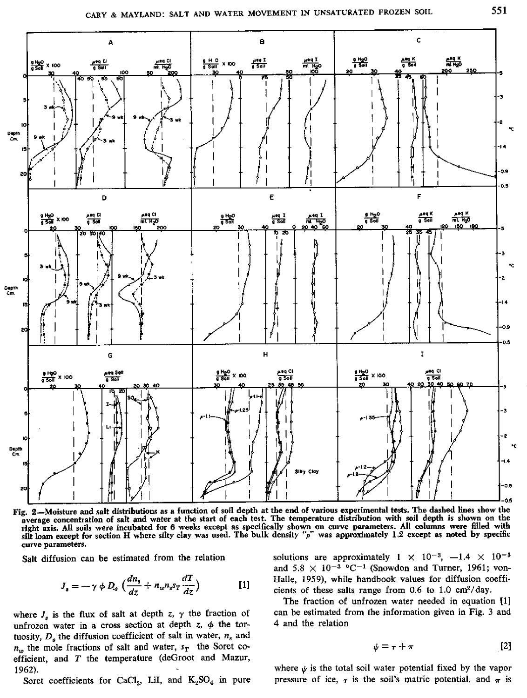

Fig. **2—Moisture and** salt **distributions** as a function **of soil depth** at **the end of various experimental tests.** The dashed **lines show the** average concentration of salt and water at the start of each test. The temperature distribution with soil depth is shown on the with axis. All soils were incubated for 6 weeks except as specifically shown on curve parameters. All columns were filled with<br>silt loam except for section H where silty clay was used. The bulk density "p" was approximatel curve parameters.

Salt diffusion can be estimated from the relation

$$
J_s = -\gamma \phi D_s \left( \frac{dn_s}{dz} + n_w n_s s_T \frac{dT}{dz} \right)
$$
 [1]

where  $J_s$  is the flux of salt at depth z,  $\gamma$  the fraction of unfrozen water in a cross section at depth z,  $\phi$  the tortuosity,  $D<sub>s</sub>$  the diffusion coefficient of salt in water,  $n<sub>s</sub>$  and  $n_{w}$  the mole fractions of salt and water,  $s_{T}$  the Soret coefficient, and *T* the temperature (deGroot and Mazur, 1962).

Soret coefficients for CaCl<sub>2</sub>, LiI, and  $K_2SO_4$  in pure

solutions are approximately  $1 \times 10^{-3}$ ,  $-1.4 \times 10^{-3}$ and  $5.8 \times 10^{-3}$  °C<sup>-1</sup> (Snowdon and Turner, 1961; von-Halle, 1959), while handbook values for diffusion coefficients of these salts range from  $0.6$  to  $1.0 \text{ cm}^2/\text{day}$ .

The fraction of unfrozen water needed in equation [1] can be estimated from the information given in Fig. 3 and 4 and the relation

$$
\psi = \tau + \pi \tag{2}
$$

where  $\psi$  is the total soil water potential fixed by the vapor pressure of ice,  $\tau$  is the soil's matric potential, and  $\pi$  is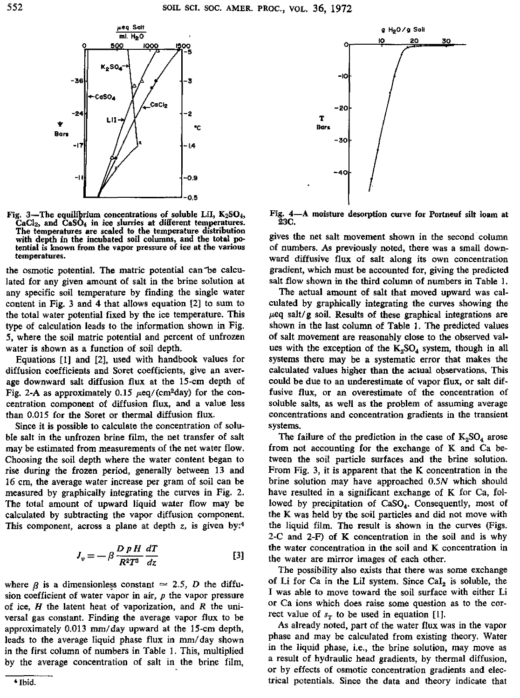

Fig. 3—The equilibrium concentrations of soluble LiI,  $K_2SO_4$ , CaC12, and **CaSO**<sup>4</sup> in ice slurries at different temperatures. The temperatures are scaled to the temperature distribution with depth in the incubated soil columns, and the total potential is known from the vapor pressure of ice at the various temperatures.

the osmotic potential. The matric potential can-be calculated for any given amount of salt in the brine solution at any specific soil temperature by finding the single water content in Fig. 3 and 4 that allows equation [2] to sum to the total water potential fixed by the ice temperature. This type of calculation leads to the information shown in Fig. 5, where the soil matric potential and percent of unfrozen water is shown as a function of soil depth.

Equations *[I]* and [2], used with handbook values for diffusion coefficients and Soret coefficients, give an average downward salt diffusion flux at the 15-cm depth of Fig. 2-A as approximately 0.15  $\mu$ eq/(cm<sup>2</sup>day) for the concentration component of diffusion flux, and a value less than 0.015 for the Soret or thermal diffusion flux.

Since it is possible to calculate the concentration of soluble salt in the unfrozen brine film, the net transfer of salt may be estimated from measurements of the net water flow. Choosing the soil depth where the water content began to rise during the frozen period, generally between 13 and 16 cm, the average water increase per gram of soil can be measured by graphically integrating the curves in Fig. 2. The total amount of upward liquid water flow may be calculated by subtracting the vapor diffusion component. This component, across a plane at depth z, is given by:<sup>4</sup>

$$
J_v = -\beta \frac{D \, p \, H}{R^2 T^3} \frac{dT}{dz} \tag{3}
$$

where  $\beta$  is a dimensionless constant  $\simeq$  2.5, *D* the diffusion coefficient of water vapor in air, *p* the vapor pressure of ice, *H* the latent heat of vaporization, and *R* the universal gas constant. Finding the average vapor flux to be approximately 0.013 mm/day upward at the 15-cm depth, leads to the average liquid phase flux in mm/day shown in the first column of numbers in Table 1. This, multiplied by the average concentration of salt in the brine film,



**Fig. 4—A moisture desorption curve for Portneuf silt loam at** 23C.

gives the net salt movement shown in the second column of numbers. As previously noted, there was a small downward diffusive flux of salt along its own concentration gradient, which must be accounted for, giving the predicted salt flow shown in the third column of numbers in Table 1.

The actual amount of salt that moved upward was calculated by graphically integrating the curves showing the *p.eq* salt/g soil. Results of these graphical integrations are shown in the last column of Table 1. The predicted values of salt movement are reasonably close to the observed values with the exception of the  $K_2SO_4$  system, though in all systems there may be a systematic error that makes the calculated values higher than the actual observations. This could be due to an underestimate of vapor flux, or salt diffusive flux, or an overestimate of the concentration of soluble salts, as well as the problem of assuming average concentrations and concentration gradients in the transient systems.

The failure of the prediction in the case of  $K_2SO_4$  arose from not accounting for the exchange of K and Ca between the soil particle surfaces and the brine solution. From Fig. 3, it is apparent that the K concentration in the brine solution may have approached 0.5N which should have resulted in *a* significant exchange of K for Ca, followed by precipitation of CaSO<sub>4</sub>. Consequently, most of the K was held by the soil particles and did not move with the liquid film. The result is shown in the curves (Figs. 2-C and 2-F) of K concentration in the soil and is why the water concentration in the soil and K concentration in the water are mirror images of each other.

The possibility also exists that there was some exchange of Li for Ca in the LiI system. Since CaI<sub>2</sub> is soluble, the I was able to move toward the soil surface with either Li or Ca ions which does raise some question as to the correct value of  $s_T$  to be used in equation [1].

As already noted, part of the water flux was in the vapor phase and may be calculated from existing theory. Water in the liquid phase, i.e., the brine solution, may move as a result of hydraulic head gradients, by thermal diffusion, or by effects of osmotic concentration gradients and electrical potentials. Since the data and theory indicate that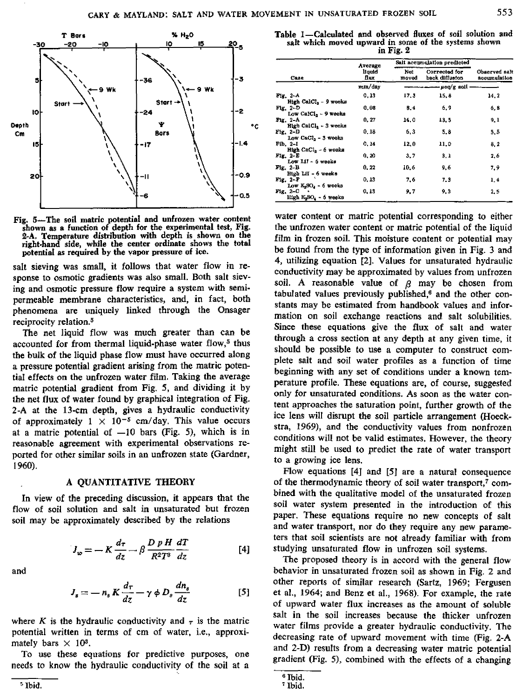

Fig. 5—The soil matric potential and unfrozen water content shown as a function of depth for the experimental test, Fig. 2•A. Temperature distribution with depth is shown on the right-hand side, while the center ordinate shows the total potential as required by the vapor pressure of ice.

salt sieving was small, it follows that water flow in response to osmotic gradients was also small. Both salt sieving and osmotic pressure flow require a system with semipermeable membrane characteristics, and, in fact, both phenomena are uniquely linked through the Onsager reciprocity relation.5

The net liquid flow was much greater than can be accounted for from thermal liquid-phase water flow,<sup>5</sup> thus the bulk of the liquid phase flow must have occurred along a pressure potential gradient arising from the matric potential effects on the unfrozen water film. Taking the average matric potential gradient from Fig, 5, and dividing it by the net flux of water found by graphical integration of Fig. 2-A at the 13-cm depth, gives a hydraulic conductivity of approximately  $1 \times 10^{-5}$  cm/day. This value occurs at a matric potential of —10 bars (Fig. 5), which is in reasonable agreement with experimental observations reported for other similar soils in an unfrozen state (Gardner, 1960),

#### A QUANTITATIVE THEORY

In view of the preceding discussion, it appears that the flow of soil solution and salt in unsaturated but frozen soil may be approximately described by the relations

$$
J_{\omega} = -K \frac{d\tau}{dz} - \beta \frac{D \ p \ H}{R^2 T^3} \frac{dT}{dz}
$$
 [4]

and

$$
J_s = -n_s K \frac{d\tau}{dz} - \gamma \phi D_s \frac{dn_s}{dz}
$$
 [5]

where *K* is the hydraulic conductivity and  $\tau$  is the matric potential written in terms of cm of water, i.e., approximately bars  $\times$  10<sup>3</sup>.

To use these equations for predictive purposes, one needs to know the hydraulic conductivity of the soil at a

**Table 1—Calculated and observed fluxes of** soil solution **and** salt which moved upward in some of the systems shown in Fig. 2

| Case                                                                               | Атегаде<br>liquid<br>Дuх. | Salt accumulation predicted |                                 |                               |
|------------------------------------------------------------------------------------|---------------------------|-----------------------------|---------------------------------|-------------------------------|
|                                                                                    |                           | Net<br>moved                | Corrected for<br>back diffusion | Observed salt<br>acoumulation |
|                                                                                    | mm/day                    | ———— µeq/g_soll ———         |                                 |                               |
| Fig. 2-A                                                                           | 0.13                      | 17.3                        | 15.8                            | 14.2                          |
| High CalCl. - 9 weeks<br>$\Gamma$ lg, 2-D                                          | 0.08                      | B. 4                        | 6.9                             | 6. B                          |
| Low CalCl. - 9 weeks<br>Fig. 2-A<br>High CalCl, - 3 weeks                          | 0. 27                     | 14.0                        | 13.5                            | 9, 1                          |
| $Fig. 2-D$                                                                         | 0.18                      | 6.3                         | 5.8                             | 5.5                           |
| Low CaCl, - 3 weeks<br>$F(b, 2-I)$                                                 | 0.14                      | 12.0                        | 11.0                            | 8.2                           |
| High CaCl, - 6 weeks<br>$Fig. 2-E$                                                 | 0.20                      | 3,7                         | 3.1                             | 2, 6                          |
| Low Li! - 6 weeks<br>$Fig. 2-B$                                                    | 0.22                      | 10.6                        | 9.6                             | 7, 9                          |
| High LiI - 6 weeks<br>$Fig. 2-F$                                                   | 0.13                      | 7.6                         | 7.9                             | 1.4                           |
| Low K.SO, - 6 weeks<br>$Fig. 2-C$<br>High K <sub>2</sub> SO <sub>4</sub> - 6 weeks | 0.13                      | 9. 7                        | 9.3                             | 2.5                           |

water content or matric potential corresponding to either the unfrozen water content or matric potential of the liquid film in frozen soil. This moisture content or potential may be found from the type of information given in Fig. 3 and 4, utilizing equation [2]. Values for unsaturated hydraulic conductivity may be approximated by values from unfrozen soil. A reasonable value of  $\beta$  may be chosen from tabulated values previously published,<sup>6</sup> and the other constants may be estimated from handbook values and information on soil exchange reactions and salt solubilities. Since these equations give the flux of salt and water through a cross section at any depth at any given time, it should be possible to use a computer to construct complete salt and soil water profiles as a function of time beginning with any set of conditions under a known temperature profile. These equations are, of course, suggested only for unsaturated conditions. As soon as the water content approaches the saturation point, further growth of the ice lens will disrupt the soil particle arrangement (Hoeckstra, 1969), and the conductivity values from nonfrozen conditions will not be valid estimates. However, the theory might still be used to predict the rate of water transport to a growing ice lens.

Flow equations [4] and [5] are a natural consequence of the thermodynamic theory of soil water transport,' combined with the qualitative model of the unsaturated frozen soil water system presented in the introduction of this paper. These equations require no new concepts of salt and water transport, nor do they require any new parameters that soil scientists are not already familiar with from studying unsaturated flow in unfrozen soil systems.

The proposed theory is in accord with the general flow behavior in unsaturated frozen soil as shown in Fig. 2 and other reports of similar research (Sartz, 1969; Fergusen et al., 1964; and Benz et al., 1968). For example, the rate of upward water flux increases as the amount of soluble salt in the soil increases because the thicker unfrozen water films provide a greater hydraulic conductivity, The decreasing rate of upward movement with time (Fig, 2-A and 2-D) results from a decreasing water matric potential gradient (Fig. 5), combined with the effects of a changing

<sup>6</sup> Ibid. 7 Ibid.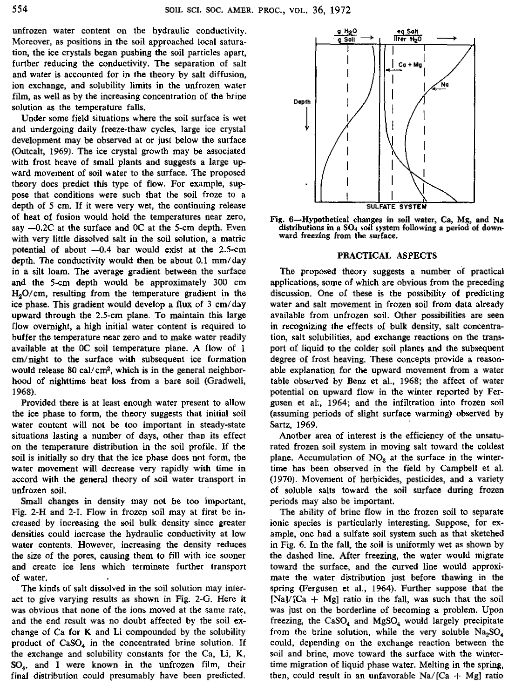unfrozen water content on the hydraulic conductivity. Moreover, as positions in the soil approached local saturation, the ice crystals began pushing the soil particles apart, further reducing the conductivity. The separation of salt and water is accounted for in the theory by salt diffusion, ion exchange, and solubility limits in the unfrozen water film, as well as by the increasing concentration of the brine solution as the temperature falls.

Under some field situations where the soil surface is wet and undergoing daily freeze-thaw cycles, large ice crystal development may be observed at or just below the surface (Outcalt, 1969). The ice crystal growth may be associated with frost heave of small plants and suggests a large upward movement of soil water to the surface. The proposed theory does predict this type of flow. For example, suppose that conditions were such that the soil froze to a depth of 5 cm. If it were very wet, the continuing release of heat of fusion would hold the temperatures near zero, say —0.2C at the surface and OC at the 5-cm depth. Even with very little dissolved salt in the soil solution, a matric potential of about —0.4 bar would exist at the 2.5-cm depth. The conductivity would then be about 0.1 mm/ day in a silt loam. The average gradient between the surface and the 5-cm depth would be approximately 300 cm  $H<sub>2</sub>O/cm$ , resulting from the temperature gradient in the ice phase. This gradient would develop a flux of 3 cm/day upward through the 2.5-cm plane. To maintain this large flow overnight, a high initial water content is required to buffer the temperature near zero and to make water readily available at the OC soil temperature plane. A flow of I cm/night to the surface with subsequent ice formation would release  $80 \text{ cal/cm}^2$ , which is in the general neighborhood of nighttime heat loss from a bare soil (Gradwell, 1968).

Provided there is at least enough water present to allow the ice phase to form, the theory suggests that initial soil water content will not be too important in steady-state situations lasting a number of days, other than its effect on the temperature distribution in the soil profile. If the soil is initially so dry that the ice phase does not form, the water movement will decrease very rapidly with time in accord with the general theory of soil water transport in unfrozen soil.

Small changes in density may not be too important, Fig. 2-H and 2-I. **Flow in frozen soil may at first be increased by increasing the soil bulk density since greater densities could increase the** hydraulic conductivity at low water contents. However, increasing the density reduces the size of the pores, causing them to fill with ice sooner and create ice lens which terminate further transport of water.

The kinds of salt dissolved in the soil solution may interact to give varying results as shown in Fig. 2-G. Here it was obvious that none of the ions moved at the same rate, and the end result was no doubt affected by the soil exchange of Ca for K and Li compounded by the solubility product of  $CaSO<sub>4</sub>$  in the concentrated brine solution. If the exchange and solubility constants for the Ca, Li, K,  $SO_4$ , and I were known in the unfrozen film, their final distribution could presumably have been predicted.



Fig. 6—Hypothetical changes in soil water, Ca, Mg, and Na distributions in a 804 soil system following a period of downward freezing from the surface.

### PRACTICAL ASPECTS

The proposed theory suggests a number of practical applications, some of which are obvious from the preceding discussion. One of these is the possibility of predicting water and salt movement in frozen soil from data already available from unfrozen soil. Other possibilities are seen in recognizing the effects of bulk density, salt concentration, salt solubilities, and exchange reactions on the transport of liquid to the colder soil planes and the subsequent degree of frost heaving. These concepts provide a reasonable explanation for the upward movement from a water table observed by Benz et al., 1968; the affect of water potential on upward flow in the winter reported by Fergusen et al:, 1964; and the infiltration into frozen soil (assuming periods of slight surface warming) observed by Sartz, 1969.

Another area of interest is the efficiency of the unsaturated frozen soil system in moving salt toward the coldest plane. Accumulation of  $NO<sub>s</sub>$  at the surface in the wintertime has been observed in the field by Campbell et al. (1970). Movement of herbicides, pesticides, and a variety of soluble salts toward the soil surface during frozen periods may also be important.

The ability of brine flow in the frozen soil to separate ionic species is particularly interesting. Suppose, for example, one had a sulfate soil system such as that sketched in Fig. 6. In the fall, the soil is uniformly wet as shown by the dashed line. After freezing, the water would migrate toward the surface, and the curved line would approximate the water distribution just before thawing in the spring (Fergusen et al., 1964). Further suppose that the  $[Na]/[Ca + Mg]$  ratio in the fall, was such that the soil was just on the borderline of becoming a problem. Upon freezing, the  $CaSO_4$  and MgSO<sub>4</sub> would largely precipitate from the brine solution, while the very soluble  $Na<sub>2</sub>SO<sub>4</sub>$ could, depending on the exchange reaction between the soil and brine, move toward the surface with the wintertime migration of liquid phase water. Melting in the spring, then, could result in an unfavorable  $Na/[Ca + Mg]$  ratio